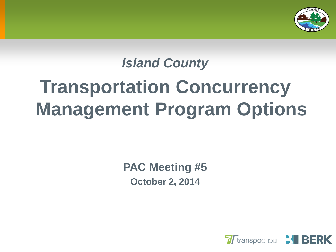

# *Island County* **Transportation Concurrency Management Program Options**

**PAC Meeting #5 October 2, 2014**

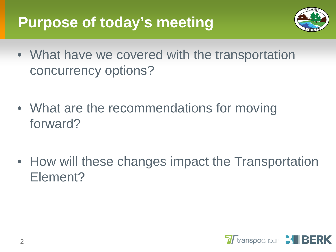# **Purpose of today's meeting**



- What have we covered with the transportation concurrency options?
- What are the recommendations for moving forward?
- How will these changes impact the Transportation Element?

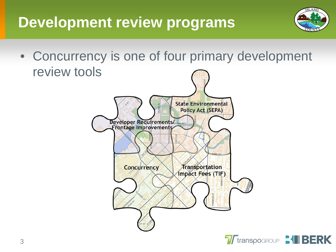# **Development review programs**



• Concurrency is one of four primary development review tools

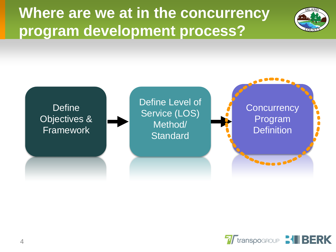**Where are we at in the concurrency program development process?**





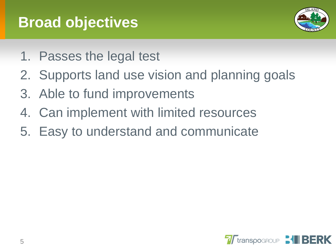# **Broad objectives**



- 1. Passes the legal test
- 2. Supports land use vision and planning goals
- 3. Able to fund improvements
- 4. Can implement with limited resources
- 5. Easy to understand and communicate

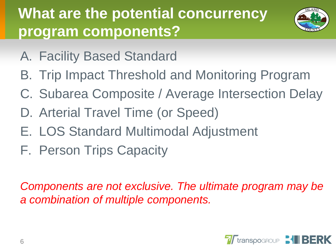# **What are the potential concurrency program components?**



- A. Facility Based Standard
- B. Trip Impact Threshold and Monitoring Program
- C. Subarea Composite / Average Intersection Delay
- D. Arterial Travel Time (or Speed)
- E. LOS Standard Multimodal Adjustment
- F. Person Trips Capacity

*Components are not exclusive. The ultimate program may be a combination of multiple components.*

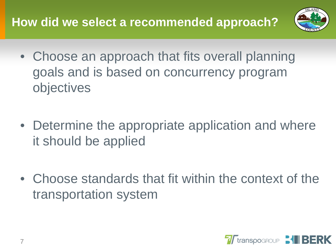#### **How did we select a recommended approach?**



- Choose an approach that fits overall planning goals and is based on concurrency program objectives
- Determine the appropriate application and where it should be applied
- Choose standards that fit within the context of the transportation system

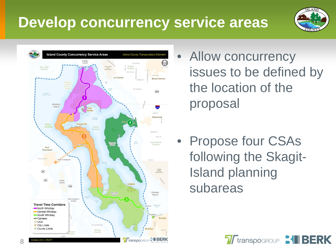# **Develop concurrency service areas**





- Allow concurrency issues to be defined by the location of the proposal
- Propose four CSAs following the Skagit-Island planning subareas

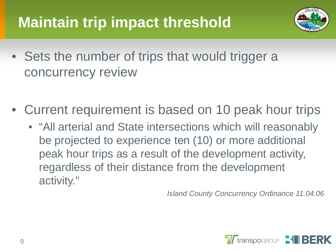# **Maintain trip impact threshold**



- Sets the number of trips that would trigger a concurrency review
- Current requirement is based on 10 peak hour trips
	- "All arterial and State intersections which will reasonably be projected to experience ten (10) or more additional peak hour trips as a result of the development activity, regardless of their distance from the development activity."

*Island County Concurrency Ordinance 11.04.06*

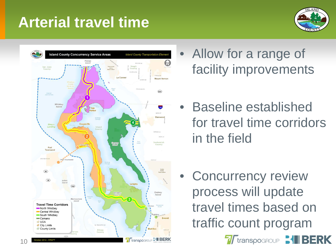# **Arterial travel time**





10

- Allow for a range of facility improvements
- Baseline established for travel time corridors in the field
- Concurrency review process will update travel times based on traffic count program

**7** Transpogroup **31 BERK**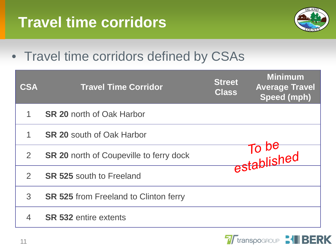# **Travel time corridors**



#### • Travel time corridors defined by CSAs

| <b>CSA</b>     | <b>Travel Time Corridor</b>                    | <b>Street</b><br>Class | <b>Minimum</b><br><b>Average Travel</b><br>Speed (mph) |
|----------------|------------------------------------------------|------------------------|--------------------------------------------------------|
|                | <b>SR 20 north of Oak Harbor</b>               |                        |                                                        |
|                | <b>SR 20 south of Oak Harbor</b>               |                        |                                                        |
| $\overline{2}$ | <b>SR 20 north of Coupeville to ferry dock</b> |                        | established                                            |
| $\mathcal{P}$  | <b>SR 525 south to Freeland</b>                |                        |                                                        |
| 3              | <b>SR 525 from Freeland to Clinton ferry</b>   |                        |                                                        |
|                | <b>SR 532 entire extents</b>                   |                        |                                                        |

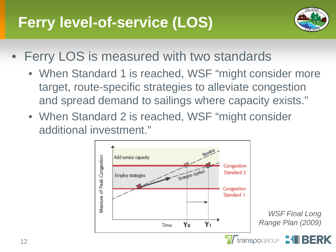# **Ferry level-of-service (LOS)**



- Ferry LOS is measured with two standards
	- When Standard 1 is reached, WSF "might consider more target, route-specific strategies to alleviate congestion and spread demand to sailings where capacity exists."
	- When Standard 2 is reached, WSF "might consider additional investment."

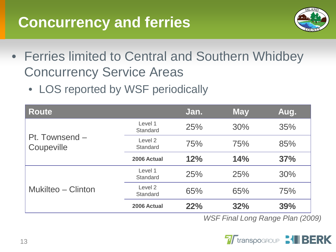#### **Concurrency and ferries**



- Ferries limited to Central and Southern Whidbey Concurrency Service Areas
	- LOS reported by WSF periodically

| <b>Route</b>                 |                     | Jan.       | <b>May</b> | Aug. |
|------------------------------|---------------------|------------|------------|------|
|                              | Level 1<br>Standard | 25%        | 30%        | 35%  |
| Pt. Townsend -<br>Coupeville | Level 2<br>Standard | 75%        | 75%        | 85%  |
|                              | 2006 Actual         | 12%        | 14%        | 37%  |
|                              | Level 1<br>Standard | 25%        | 25%        | 30%  |
| Mukilteo – Clinton           | Level 2<br>Standard | 65%        | 65%        | 75%  |
|                              | 2006 Actual         | <b>22%</b> | 32%        | 39%  |

*WSF Final Long Range Plan (2009)*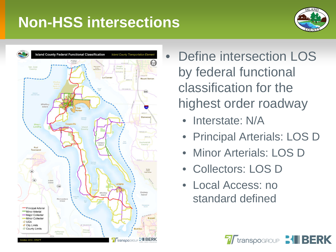#### **Non-HSS intersections**





- Define intersection LOS by federal functional classification for the highest order roadway
	- Interstate: N/A
	- Principal Arterials: LOS D
	- Minor Arterials: LOS D
	- Collectors: LOS D
	- Local Access: no standard defined

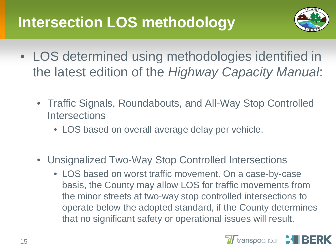# **Intersection LOS methodology**



- LOS determined using methodologies identified in the latest edition of the *Highway Capacity Manual*:
	- Traffic Signals, Roundabouts, and All-Way Stop Controlled **Intersections** 
		- LOS based on overall average delay per vehicle.
	- Unsignalized Two-Way Stop Controlled Intersections
		- LOS based on worst traffic movement. On a case-by-case basis, the County may allow LOS for traffic movements from the minor streets at two-way stop controlled intersections to operate below the adopted standard, if the County determines that no significant safety or operational issues will result.

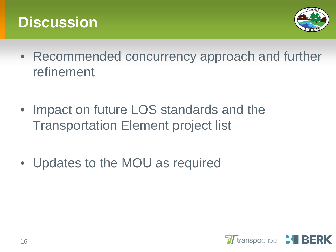#### **Discussion**



- Recommended concurrency approach and further refinement
- Impact on future LOS standards and the Transportation Element project list
- Updates to the MOU as required

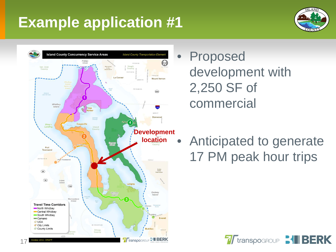# **Example application #1**





- **Proposed** development with 2,250 SF of commercial
- Anticipated to generate 17 PM peak hour trips

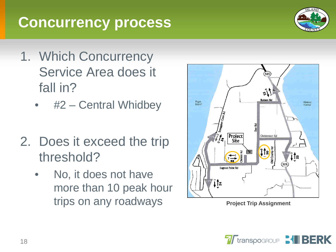## **Concurrency process**



- 1. Which Concurrency Service Area does it fall in?
	- #2 Central Whidbey
- 2. Does it exceed the trip threshold?
	- No, it does not have more than 10 peak hour trips on any roadways



**Project Trip Assignment**

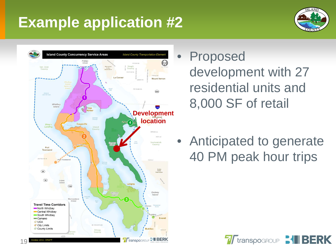# **Example application #2**





19

- **Proposed** development with 27 residential units and 8,000 SF of retail
- Anticipated to generate 40 PM peak hour trips

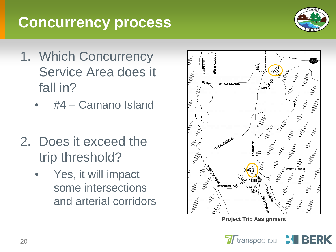## **Concurrency process**

- 1. Which Concurrency Service Area does it fall in?
	- #4 Camano Island
- 2. Does it exceed the trip threshold?
	- Yes, it will impact some intersections and arterial corridors



**Project Trip Assignment**

**7 T**transpogroup **31 BERK** 

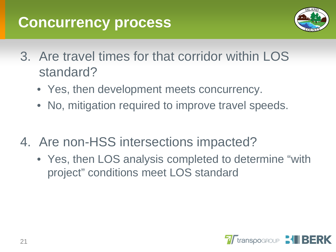#### **Concurrency process**



- 3. Are travel times for that corridor within LOS standard?
	- Yes, then development meets concurrency.
	- No, mitigation required to improve travel speeds.
- 4. Are non-HSS intersections impacted?
	- Yes, then LOS analysis completed to determine "with project" conditions meet LOS standard